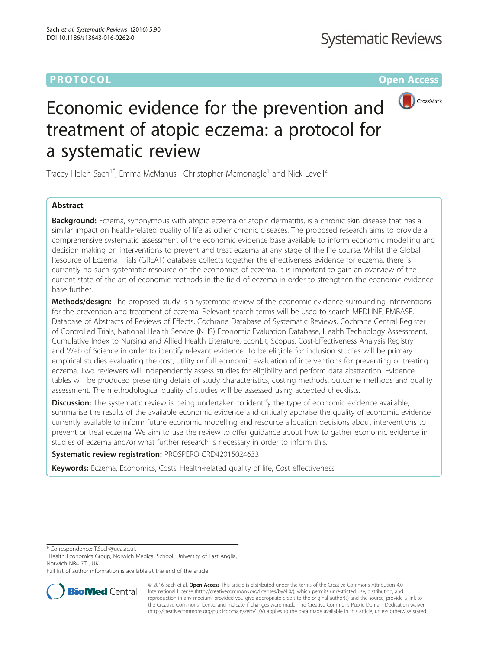# **PROTOCOL CONSUMING THE CONSUMING TEACHER CONSUMING THE CONSUMING TEACHER CONSUMING THE CONSUMING TEACHER CONSUMING**



# Economic evidence for the prevention and treatment of atopic eczema: a protocol for a systematic review

Tracey Helen Sach<sup>1\*</sup>, Emma McManus<sup>1</sup>, Christopher Mcmonagle<sup>1</sup> and Nick Levell<sup>2</sup>

### Abstract

**Background:** Eczema, synonymous with atopic eczema or atopic dermatitis, is a chronic skin disease that has a similar impact on health-related quality of life as other chronic diseases. The proposed research aims to provide a comprehensive systematic assessment of the economic evidence base available to inform economic modelling and decision making on interventions to prevent and treat eczema at any stage of the life course. Whilst the Global Resource of Eczema Trials (GREAT) database collects together the effectiveness evidence for eczema, there is currently no such systematic resource on the economics of eczema. It is important to gain an overview of the current state of the art of economic methods in the field of eczema in order to strengthen the economic evidence base further.

**Methods/design:** The proposed study is a systematic review of the economic evidence surrounding interventions for the prevention and treatment of eczema. Relevant search terms will be used to search MEDLINE, EMBASE, Database of Abstracts of Reviews of Effects, Cochrane Database of Systematic Reviews, Cochrane Central Register of Controlled Trials, National Health Service (NHS) Economic Evaluation Database, Health Technology Assessment, Cumulative Index to Nursing and Allied Health Literature, EconLit, Scopus, Cost-Effectiveness Analysis Registry and Web of Science in order to identify relevant evidence. To be eligible for inclusion studies will be primary empirical studies evaluating the cost, utility or full economic evaluation of interventions for preventing or treating eczema. Two reviewers will independently assess studies for eligibility and perform data abstraction. Evidence tables will be produced presenting details of study characteristics, costing methods, outcome methods and quality assessment. The methodological quality of studies will be assessed using accepted checklists.

**Discussion:** The systematic review is being undertaken to identify the type of economic evidence available, summarise the results of the available economic evidence and critically appraise the quality of economic evidence currently available to inform future economic modelling and resource allocation decisions about interventions to prevent or treat eczema. We aim to use the review to offer guidance about how to gather economic evidence in studies of eczema and/or what further research is necessary in order to inform this.

Systematic review registration: PROSPERO [CRD42015024633](http://www.crd.york.ac.uk/PROSPERO/display_record.asp?ID=CRD42015024633)

Keywords: Eczema, Economics, Costs, Health-related quality of life, Cost effectiveness

\* Correspondence: [T.Sach@uea.ac.uk](mailto:T.Sach@uea.ac.uk) <sup>1</sup>

Full list of author information is available at the end of the article



© 2016 Sach et al. Open Access This article is distributed under the terms of the Creative Commons Attribution 4.0 International License [\(http://creativecommons.org/licenses/by/4.0/](http://creativecommons.org/licenses/by/4.0/)), which permits unrestricted use, distribution, and reproduction in any medium, provided you give appropriate credit to the original author(s) and the source, provide a link to the Creative Commons license, and indicate if changes were made. The Creative Commons Public Domain Dedication waiver [\(http://creativecommons.org/publicdomain/zero/1.0/](http://creativecommons.org/publicdomain/zero/1.0/)) applies to the data made available in this article, unless otherwise stated.

<sup>&</sup>lt;sup>1</sup>Health Economics Group, Norwich Medical School, University of East Anglia, Norwich NR4 7TJ, UK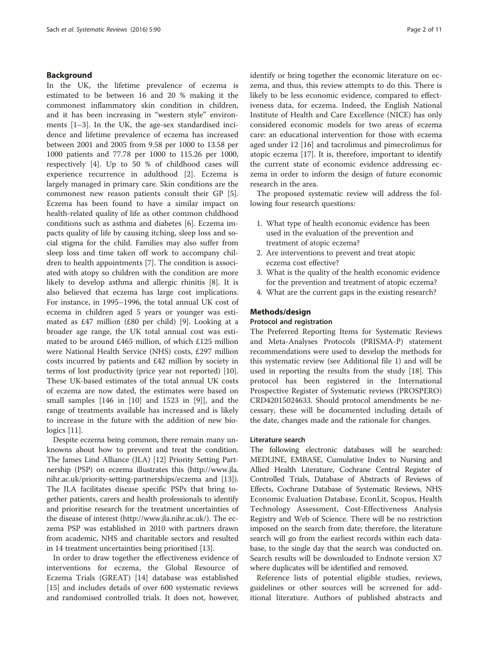#### Background

In the UK, the lifetime prevalence of eczema is estimated to be between 16 and 20 % making it the commonest inflammatory skin condition in children, and it has been increasing in "western style" environments [\[1](#page-9-0)–[3\]](#page-9-0). In the UK, the age-sex standardised incidence and lifetime prevalence of eczema has increased between 2001 and 2005 from 9.58 per 1000 to 13.58 per 1000 patients and 77.78 per 1000 to 115.26 per 1000, respectively [\[4](#page-9-0)]. Up to 50 % of childhood cases will experience recurrence in adulthood [\[2](#page-9-0)]. Eczema is largely managed in primary care. Skin conditions are the commonest new reason patients consult their GP [\[5](#page-9-0)]. Eczema has been found to have a similar impact on health-related quality of life as other common childhood conditions such as asthma and diabetes [[6\]](#page-9-0). Eczema impacts quality of life by causing itching, sleep loss and social stigma for the child. Families may also suffer from sleep loss and time taken off work to accompany children to health appointments [[7\]](#page-9-0). The condition is associated with atopy so children with the condition are more likely to develop asthma and allergic rhinitis [[8\]](#page-9-0). It is also believed that eczema has large cost implications. For instance, in 1995–1996, the total annual UK cost of eczema in children aged 5 years or younger was estimated as £47 million (£80 per child) [[9\]](#page-9-0). Looking at a broader age range, the UK total annual cost was estimated to be around £465 million, of which £125 million were National Health Service (NHS) costs, £297 million costs incurred by patients and £42 million by society in terms of lost productivity (price year not reported) [\[10](#page-9-0)]. These UK-based estimates of the total annual UK costs of eczema are now dated, the estimates were based on small samples [146 in [[10\]](#page-9-0) and 1523 in [\[9\]](#page-9-0)], and the range of treatments available has increased and is likely to increase in the future with the addition of new bio-logics [[11\]](#page-9-0).

Despite eczema being common, there remain many unknowns about how to prevent and treat the condition. The James Lind Alliance (JLA) [[12](#page-9-0)] Priority Setting Partnership (PSP) on eczema illustrates this [\(http://www.jla.](http://www.jla.nihr.ac.uk/priority-setting-partnerships/eczema) [nihr.ac.uk/priority-setting-partnerships/eczema](http://www.jla.nihr.ac.uk/priority-setting-partnerships/eczema) and [[13](#page-9-0)]). The JLA facilitates disease specific PSPs that bring together patients, carers and health professionals to identify and prioritise research for the treatment uncertainties of the disease of interest ([http://www.jla.nihr.ac.uk/\)](http://www.jla.nihr.ac.uk/). The eczema PSP was established in 2010 with partners drawn from academic, NHS and charitable sectors and resulted in 14 treatment uncertainties being prioritised [\[13](#page-9-0)].

In order to draw together the effectiveness evidence of interventions for eczema, the Global Resource of Eczema Trials (GREAT) [[14](#page-9-0)] database was established [[15\]](#page-9-0) and includes details of over 600 systematic reviews and randomised controlled trials. It does not, however,

identify or bring together the economic literature on eczema, and thus, this review attempts to do this. There is likely to be less economic evidence, compared to effectiveness data, for eczema. Indeed, the English National Institute of Health and Care Excellence (NICE) has only considered economic models for two areas of eczema care: an educational intervention for those with eczema aged under 12 [[16](#page-9-0)] and tacrolimus and pimecrolimus for atopic eczema [[17](#page-10-0)]. It is, therefore, important to identify the current state of economic evidence addressing eczema in order to inform the design of future economic research in the area.

The proposed systematic review will address the following four research questions:

- 1. What type of health economic evidence has been used in the evaluation of the prevention and treatment of atopic eczema?
- 2. Are interventions to prevent and treat atopic eczema cost effective?
- 3. What is the quality of the health economic evidence for the prevention and treatment of atopic eczema?
- 4. What are the current gaps in the existing research?

#### Methods/design

#### Protocol and registration

The Preferred Reporting Items for Systematic Reviews and Meta-Analyses Protocols (PRISMA-P) statement recommendations were used to develop the methods for this systematic review (see Additional file [1\)](#page-9-0) and will be used in reporting the results from the study [\[18\]](#page-10-0). This protocol has been registered in the International Prospective Register of Systematic reviews (PROSPERO) CRD42015024633. Should protocol amendments be necessary, these will be documented including details of the date, changes made and the rationale for changes.

#### Literature search

The following electronic databases will be searched: MEDLINE, EMBASE, Cumulative Index to Nursing and Allied Health Literature, Cochrane Central Register of Controlled Trials, Database of Abstracts of Reviews of Effects, Cochrane Database of Systematic Reviews, NHS Economic Evaluation Database, EconLit, Scopus, Health Technology Assessment, Cost-Effectiveness Analysis Registry and Web of Science. There will be no restriction imposed on the search from date; therefore, the literature search will go from the earliest records within each database, to the single day that the search was conducted on. Search results will be downloaded to Endnote version X7 where duplicates will be identified and removed.

Reference lists of potential eligible studies, reviews, guidelines or other sources will be screened for additional literature. Authors of published abstracts and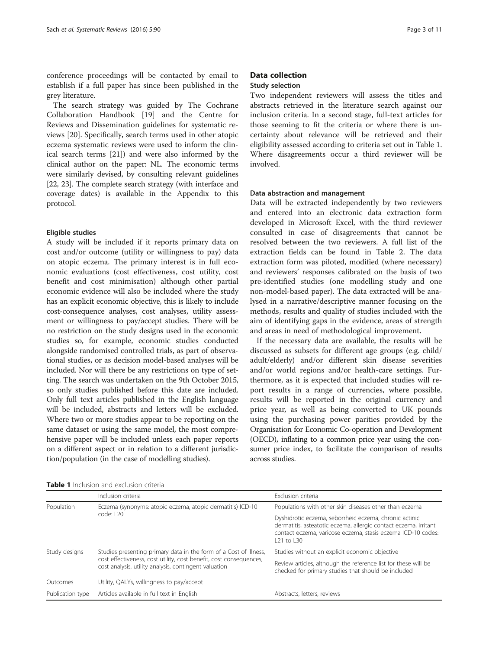conference proceedings will be contacted by email to establish if a full paper has since been published in the grey literature.

The search strategy was guided by The Cochrane Collaboration Handbook [[19\]](#page-10-0) and the Centre for Reviews and Dissemination guidelines for systematic reviews [[20\]](#page-10-0). Specifically, search terms used in other atopic eczema systematic reviews were used to inform the clinical search terms [[21\]](#page-10-0)) and were also informed by the clinical author on the paper: NL. The economic terms were similarly devised, by consulting relevant guidelines [[22](#page-10-0), [23](#page-10-0)]. The complete search strategy (with interface and coverage dates) is available in the [Appendix](#page-8-0) to this protocol.

#### Eligible studies

A study will be included if it reports primary data on cost and/or outcome (utility or willingness to pay) data on atopic eczema. The primary interest is in full economic evaluations (cost effectiveness, cost utility, cost benefit and cost minimisation) although other partial economic evidence will also be included where the study has an explicit economic objective, this is likely to include cost-consequence analyses, cost analyses, utility assessment or willingness to pay/accept studies. There will be no restriction on the study designs used in the economic studies so, for example, economic studies conducted alongside randomised controlled trials, as part of observational studies, or as decision model-based analyses will be included. Nor will there be any restrictions on type of setting. The search was undertaken on the 9th October 2015, so only studies published before this date are included. Only full text articles published in the English language will be included, abstracts and letters will be excluded. Where two or more studies appear to be reporting on the same dataset or using the same model, the most comprehensive paper will be included unless each paper reports on a different aspect or in relation to a different jurisdiction/population (in the case of modelling studies).

# Data collection

## Study selection

Two independent reviewers will assess the titles and abstracts retrieved in the literature search against our inclusion criteria. In a second stage, full-text articles for those seeming to fit the criteria or where there is uncertainty about relevance will be retrieved and their eligibility assessed according to criteria set out in Table 1. Where disagreements occur a third reviewer will be involved.

#### Data abstraction and management

Data will be extracted independently by two reviewers and entered into an electronic data extraction form developed in Microsoft Excel, with the third reviewer consulted in case of disagreements that cannot be resolved between the two reviewers. A full list of the extraction fields can be found in Table [2](#page-3-0). The data extraction form was piloted, modified (where necessary) and reviewers' responses calibrated on the basis of two pre-identified studies (one modelling study and one non-model-based paper). The data extracted will be analysed in a narrative/descriptive manner focusing on the methods, results and quality of studies included with the aim of identifying gaps in the evidence, areas of strength and areas in need of methodological improvement.

If the necessary data are available, the results will be discussed as subsets for different age groups (e.g. child/ adult/elderly) and/or different skin disease severities and/or world regions and/or health-care settings. Furthermore, as it is expected that included studies will report results in a range of currencies, where possible, results will be reported in the original currency and price year, as well as being converted to UK pounds using the purchasing power parities provided by the Organisation for Economic Co-operation and Development (OECD), inflating to a common price year using the consumer price index, to facilitate the comparison of results across studies.

|                  | Inclusion criteria                                                                                                          | Exclusion criteria                                                                                                                                                                                       |
|------------------|-----------------------------------------------------------------------------------------------------------------------------|----------------------------------------------------------------------------------------------------------------------------------------------------------------------------------------------------------|
| Population       | Eczema (synonyms: atopic eczema, atopic dermatitis) ICD-10                                                                  | Populations with other skin diseases other than eczema                                                                                                                                                   |
|                  | code: L20                                                                                                                   | Dyshidrotic eczema, seborrheic eczema, chronic actinic<br>dermatitis, asteatotic eczema, allergic contact eczema, irritant<br>contact eczema, varicose eczema, stasis eczema ICD-10 codes:<br>121 to 130 |
| Study designs    | Studies presenting primary data in the form of a Cost of illness,                                                           | Studies without an explicit economic objective                                                                                                                                                           |
|                  | cost effectiveness, cost utility, cost benefit, cost consequences,<br>cost analysis, utility analysis, contingent valuation | Review articles, although the reference list for these will be<br>checked for primary studies that should be included                                                                                    |
| Outcomes         | Utility, QALYs, willingness to pay/accept                                                                                   |                                                                                                                                                                                                          |
| Publication type | Articles available in full text in English                                                                                  | Abstracts, letters, reviews                                                                                                                                                                              |

Table 1 Inclusion and exclusion criteria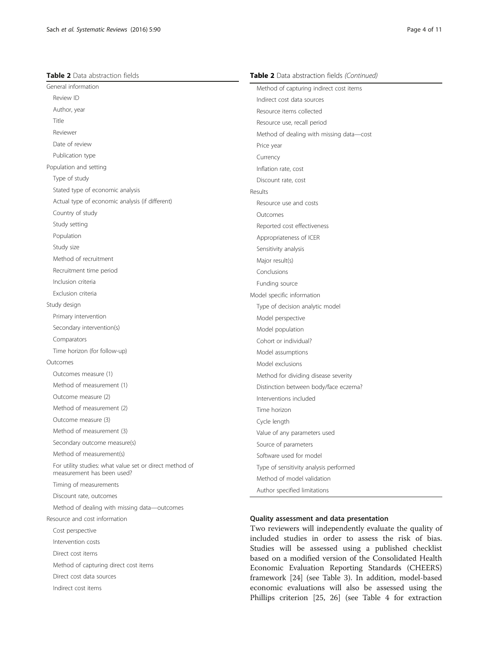Resource and cost information

Direct cost data sources Indirect cost items

Method of capturing direct cost items

Cost perspective Intervention costs Direct cost items

<span id="page-3-0"></span>

| <b>Table 2</b> Data abstraction fields                                                | <b>Table 2</b> Data abstraction fields (Continued)                   |  |
|---------------------------------------------------------------------------------------|----------------------------------------------------------------------|--|
| General information                                                                   | Method of capturing indirect cost items                              |  |
| Review ID                                                                             | Indirect cost data sources                                           |  |
| Author, year                                                                          | Resource items collected                                             |  |
| Title                                                                                 | Resource use, recall period                                          |  |
| Reviewer                                                                              | Method of dealing with missing data-cost                             |  |
| Date of review                                                                        | Price year                                                           |  |
| Publication type                                                                      | Currency                                                             |  |
| Population and setting                                                                | Inflation rate, cost                                                 |  |
| Type of study                                                                         | Discount rate, cost                                                  |  |
| Stated type of economic analysis                                                      | Results                                                              |  |
| Actual type of economic analysis (if different)                                       | Resource use and costs                                               |  |
| Country of study                                                                      | Outcomes                                                             |  |
| Study setting                                                                         | Reported cost effectiveness                                          |  |
| Population                                                                            | Appropriateness of ICER                                              |  |
| Study size                                                                            | Sensitivity analysis                                                 |  |
| Method of recruitment                                                                 | Major result(s)                                                      |  |
| Recruitment time period                                                               | Conclusions                                                          |  |
| Inclusion criteria                                                                    | Funding source                                                       |  |
| Exclusion criteria                                                                    | Model specific information                                           |  |
| Study design                                                                          | Type of decision analytic model                                      |  |
| Primary intervention                                                                  | Model perspective                                                    |  |
| Secondary intervention(s)                                                             | Model population                                                     |  |
| Comparators                                                                           | Cohort or individual?                                                |  |
| Time horizon (for follow-up)                                                          | Model assumptions                                                    |  |
| Outcomes                                                                              | Model exclusions                                                     |  |
| Outcomes measure (1)                                                                  | Method for dividing disease severity                                 |  |
| Method of measurement (1)                                                             | Distinction between body/face eczema?                                |  |
| Outcome measure (2)                                                                   | Interventions included                                               |  |
| Method of measurement (2)                                                             | Time horizon                                                         |  |
| Outcome measure (3)                                                                   | Cycle length                                                         |  |
| Method of measurement (3)                                                             | Value of any parameters used                                         |  |
| Secondary outcome measure(s)                                                          | Source of parameters                                                 |  |
| Method of measurement(s)                                                              | Software used for model                                              |  |
| For utility studies: what value set or direct method of<br>measurement has been used? | Type of sensitivity analysis performed<br>Method of model validation |  |
| Timing of measurements                                                                |                                                                      |  |
| Discount rate, outcomes                                                               | Author specified limitations                                         |  |
| Method of dealing with missing data-outcomes                                          |                                                                      |  |

#### Quality assessment and data presentation

Two reviewers will independently evaluate the quality of included studies in order to assess the risk of bias. Studies will be assessed using a published checklist based on a modified version of the Consolidated Health Economic Evaluation Reporting Standards (CHEERS) framework [\[24\]](#page-10-0) (see Table [3](#page-4-0)). In addition, model-based economic evaluations will also be assessed using the Phillips criterion [\[25](#page-10-0), [26\]](#page-10-0) (see Table [4](#page-6-0) for extraction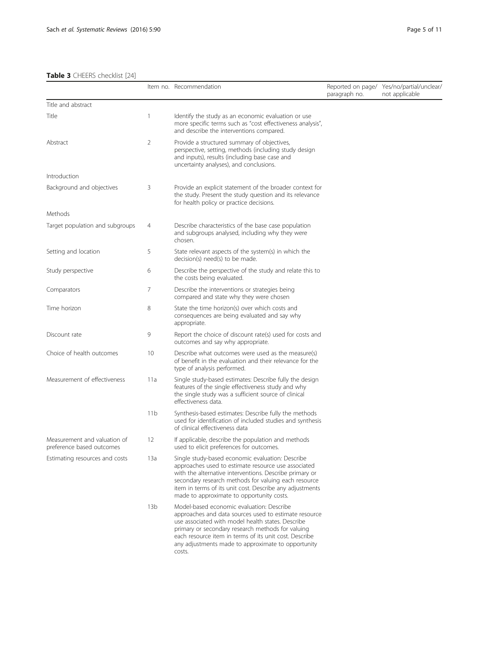#### <span id="page-4-0"></span>Table 3 CHEERS checklist [[24](#page-10-0)]

|                                                           |                 | Item no. Recommendation                                                                                                                                                                                                                                                                                                                | paragraph no. | Reported on page/ Yes/no/partial/unclear/<br>not applicable |
|-----------------------------------------------------------|-----------------|----------------------------------------------------------------------------------------------------------------------------------------------------------------------------------------------------------------------------------------------------------------------------------------------------------------------------------------|---------------|-------------------------------------------------------------|
| Title and abstract                                        |                 |                                                                                                                                                                                                                                                                                                                                        |               |                                                             |
| Title                                                     | $\mathbf{1}$    | Identify the study as an economic evaluation or use<br>more specific terms such as "cost effectiveness analysis",<br>and describe the interventions compared.                                                                                                                                                                          |               |                                                             |
| Abstract                                                  | 2               | Provide a structured summary of objectives,<br>perspective, setting, methods (including study design<br>and inputs), results (including base case and<br>uncertainty analyses), and conclusions.                                                                                                                                       |               |                                                             |
| Introduction                                              |                 |                                                                                                                                                                                                                                                                                                                                        |               |                                                             |
| Background and objectives                                 | 3               | Provide an explicit statement of the broader context for<br>the study. Present the study question and its relevance<br>for health policy or practice decisions.                                                                                                                                                                        |               |                                                             |
| Methods                                                   |                 |                                                                                                                                                                                                                                                                                                                                        |               |                                                             |
| Target population and subgroups                           | 4               | Describe characteristics of the base case population<br>and subgroups analysed, including why they were<br>chosen.                                                                                                                                                                                                                     |               |                                                             |
| Setting and location                                      | 5               | State relevant aspects of the system(s) in which the<br>decision(s) need(s) to be made.                                                                                                                                                                                                                                                |               |                                                             |
| Study perspective                                         | 6               | Describe the perspective of the study and relate this to<br>the costs being evaluated.                                                                                                                                                                                                                                                 |               |                                                             |
| Comparators                                               | 7               | Describe the interventions or strategies being<br>compared and state why they were chosen                                                                                                                                                                                                                                              |               |                                                             |
| Time horizon                                              | 8               | State the time horizon(s) over which costs and<br>consequences are being evaluated and say why<br>appropriate.                                                                                                                                                                                                                         |               |                                                             |
| Discount rate                                             | 9               | Report the choice of discount rate(s) used for costs and<br>outcomes and say why appropriate.                                                                                                                                                                                                                                          |               |                                                             |
| Choice of health outcomes                                 | 10              | Describe what outcomes were used as the measure(s)<br>of benefit in the evaluation and their relevance for the<br>type of analysis performed.                                                                                                                                                                                          |               |                                                             |
| Measurement of effectiveness                              | 11a             | Single study-based estimates: Describe fully the design<br>features of the single effectiveness study and why<br>the single study was a sufficient source of clinical<br>effectiveness data.                                                                                                                                           |               |                                                             |
|                                                           | 11 <sub>b</sub> | Synthesis-based estimates: Describe fully the methods<br>used for identification of included studies and synthesis<br>of clinical effectiveness data                                                                                                                                                                                   |               |                                                             |
| Measurement and valuation of<br>preference based outcomes | 12              | If applicable, describe the population and methods<br>used to elicit preferences for outcomes.                                                                                                                                                                                                                                         |               |                                                             |
| Estimating resources and costs                            | 13a             | Single study-based economic evaluation: Describe<br>approaches used to estimate resource use associated<br>with the alternative interventions. Describe primary or<br>secondary research methods for valuing each resource<br>item in terms of its unit cost. Describe any adjustments<br>made to approximate to opportunity costs.    |               |                                                             |
|                                                           | 13 <sub>b</sub> | Model-based economic evaluation: Describe<br>approaches and data sources used to estimate resource<br>use associated with model health states. Describe<br>primary or secondary research methods for valuing<br>each resource item in terms of its unit cost. Describe<br>any adjustments made to approximate to opportunity<br>costs. |               |                                                             |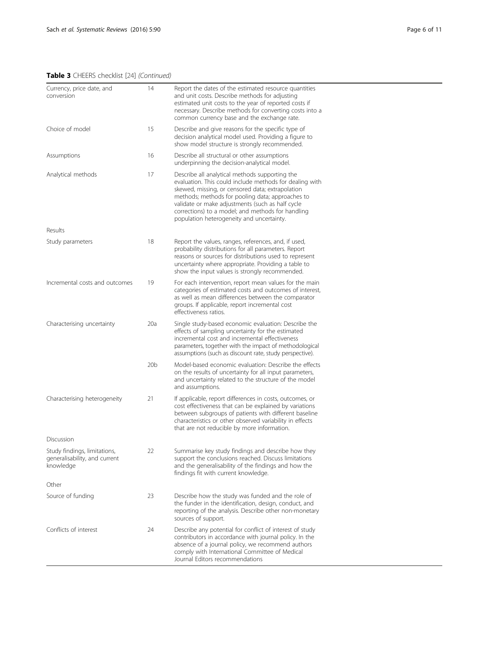Table 3 CHEERS checklist [[24](#page-9-0)] (Continued)

| Currency, price date, and<br>conversion                                    | 14              | Report the dates of the estimated resource quantities<br>and unit costs. Describe methods for adjusting<br>estimated unit costs to the year of reported costs if<br>necessary. Describe methods for converting costs into a<br>common currency base and the exchange rate.                                                                                              |
|----------------------------------------------------------------------------|-----------------|-------------------------------------------------------------------------------------------------------------------------------------------------------------------------------------------------------------------------------------------------------------------------------------------------------------------------------------------------------------------------|
| Choice of model                                                            | 15              | Describe and give reasons for the specific type of<br>decision analytical model used. Providing a figure to<br>show model structure is strongly recommended.                                                                                                                                                                                                            |
| Assumptions                                                                | 16              | Describe all structural or other assumptions<br>underpinning the decision-analytical model.                                                                                                                                                                                                                                                                             |
| Analytical methods                                                         | 17              | Describe all analytical methods supporting the<br>evaluation. This could include methods for dealing with<br>skewed, missing, or censored data; extrapolation<br>methods; methods for pooling data; approaches to<br>validate or make adjustments (such as half cycle<br>corrections) to a model; and methods for handling<br>population heterogeneity and uncertainty. |
| Results                                                                    |                 |                                                                                                                                                                                                                                                                                                                                                                         |
| Study parameters                                                           | 18              | Report the values, ranges, references, and, if used,<br>probability distributions for all parameters. Report<br>reasons or sources for distributions used to represent<br>uncertainty where appropriate. Providing a table to<br>show the input values is strongly recommended.                                                                                         |
| Incremental costs and outcomes                                             | 19              | For each intervention, report mean values for the main<br>categories of estimated costs and outcomes of interest,<br>as well as mean differences between the comparator<br>groups. If applicable, report incremental cost<br>effectiveness ratios.                                                                                                                      |
| Characterising uncertainty                                                 | 20a             | Single study-based economic evaluation: Describe the<br>effects of sampling uncertainty for the estimated<br>incremental cost and incremental effectiveness<br>parameters, together with the impact of methodological<br>assumptions (such as discount rate, study perspective).                                                                                        |
|                                                                            | 20 <sub>b</sub> | Model-based economic evaluation: Describe the effects<br>on the results of uncertainty for all input parameters,<br>and uncertainty related to the structure of the model<br>and assumptions.                                                                                                                                                                           |
| Characterising heterogeneity                                               | 21              | If applicable, report differences in costs, outcomes, or<br>cost effectiveness that can be explained by variations<br>between subgroups of patients with different baseline<br>characteristics or other observed variability in effects<br>that are not reducible by more information.                                                                                  |
| Discussion                                                                 |                 |                                                                                                                                                                                                                                                                                                                                                                         |
| Study findings, limitations,<br>generalisability, and current<br>knowledge | 22              | Summarise key study findings and describe how they<br>support the conclusions reached. Discuss limitations<br>and the generalisability of the findings and how the<br>findings fit with current knowledge.                                                                                                                                                              |
| Other                                                                      |                 |                                                                                                                                                                                                                                                                                                                                                                         |
| Source of funding                                                          | 23              | Describe how the study was funded and the role of<br>the funder in the identification, design, conduct, and<br>reporting of the analysis. Describe other non-monetary<br>sources of support.                                                                                                                                                                            |
| Conflicts of interest                                                      | 24              | Describe any potential for conflict of interest of study<br>contributors in accordance with journal policy. In the<br>absence of a journal policy, we recommend authors<br>comply with International Committee of Medical<br>Journal Editors recommendations                                                                                                            |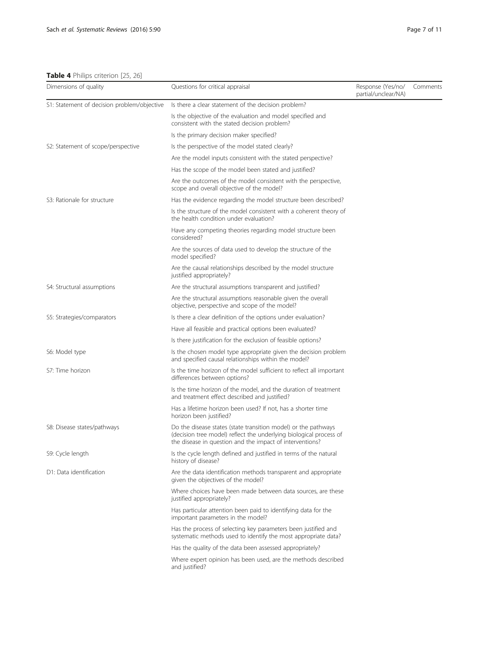#### <span id="page-6-0"></span>Table 4 Philips criterion [\[25, 26\]](#page-10-0)

| Dimensions of quality                       | Questions for critical appraisal                                                                                                                                                                 | Response (Yes/no/<br>partial/unclear/NA) | Comments |
|---------------------------------------------|--------------------------------------------------------------------------------------------------------------------------------------------------------------------------------------------------|------------------------------------------|----------|
| S1: Statement of decision problem/objective | Is there a clear statement of the decision problem?                                                                                                                                              |                                          |          |
|                                             | Is the objective of the evaluation and model specified and<br>consistent with the stated decision problem?                                                                                       |                                          |          |
|                                             | Is the primary decision maker specified?                                                                                                                                                         |                                          |          |
| S2: Statement of scope/perspective          | Is the perspective of the model stated clearly?                                                                                                                                                  |                                          |          |
|                                             | Are the model inputs consistent with the stated perspective?                                                                                                                                     |                                          |          |
|                                             | Has the scope of the model been stated and justified?                                                                                                                                            |                                          |          |
|                                             | Are the outcomes of the model consistent with the perspective,<br>scope and overall objective of the model?                                                                                      |                                          |          |
| S3: Rationale for structure                 | Has the evidence regarding the model structure been described?                                                                                                                                   |                                          |          |
|                                             | Is the structure of the model consistent with a coherent theory of<br>the health condition under evaluation?                                                                                     |                                          |          |
|                                             | Have any competing theories regarding model structure been<br>considered?                                                                                                                        |                                          |          |
|                                             | Are the sources of data used to develop the structure of the<br>model specified?                                                                                                                 |                                          |          |
|                                             | Are the causal relationships described by the model structure<br>justified appropriately?                                                                                                        |                                          |          |
| S4: Structural assumptions                  | Are the structural assumptions transparent and justified?                                                                                                                                        |                                          |          |
|                                             | Are the structural assumptions reasonable given the overall<br>objective, perspective and scope of the model?                                                                                    |                                          |          |
| S5: Strategies/comparators                  | Is there a clear definition of the options under evaluation?                                                                                                                                     |                                          |          |
|                                             | Have all feasible and practical options been evaluated?                                                                                                                                          |                                          |          |
|                                             | Is there justification for the exclusion of feasible options?                                                                                                                                    |                                          |          |
| S6: Model type                              | Is the chosen model type appropriate given the decision problem<br>and specified causal relationships within the model?                                                                          |                                          |          |
| S7: Time horizon                            | Is the time horizon of the model sufficient to reflect all important<br>differences between options?                                                                                             |                                          |          |
|                                             | Is the time horizon of the model, and the duration of treatment<br>and treatment effect described and justified?                                                                                 |                                          |          |
|                                             | Has a lifetime horizon been used? If not, has a shorter time<br>horizon been justified?                                                                                                          |                                          |          |
| S8: Disease states/pathways                 | Do the disease states (state transition model) or the pathways<br>(decision tree model) reflect the underlying biological process of<br>the disease in question and the impact of interventions? |                                          |          |
| S9: Cycle length                            | Is the cycle length defined and justified in terms of the natural<br>history of disease?                                                                                                         |                                          |          |
| D1: Data identification                     | Are the data identification methods transparent and appropriate<br>given the objectives of the model?                                                                                            |                                          |          |
|                                             | Where choices have been made between data sources, are these<br>justified appropriately?                                                                                                         |                                          |          |
|                                             | Has particular attention been paid to identifying data for the<br>important parameters in the model?                                                                                             |                                          |          |
|                                             | Has the process of selecting key parameters been justified and<br>systematic methods used to identify the most appropriate data?                                                                 |                                          |          |
|                                             | Has the quality of the data been assessed appropriately?                                                                                                                                         |                                          |          |
|                                             | Where expert opinion has been used, are the methods described<br>and justified?                                                                                                                  |                                          |          |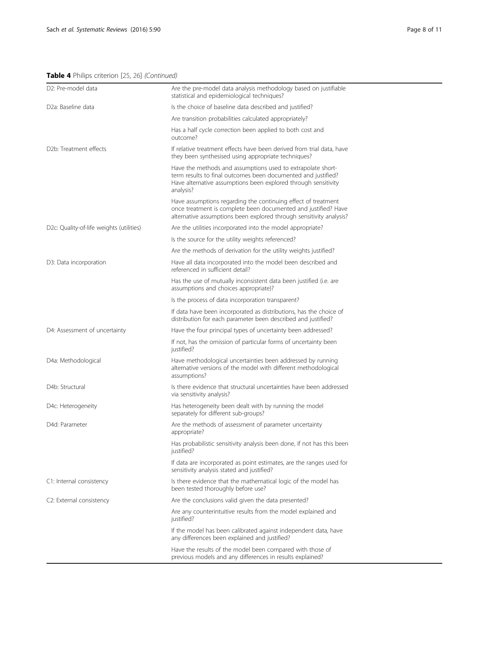Table 4 Philips criterion [\[25](#page-9-0), [26\]](#page-9-0) (Continued)

| D <sub>2</sub> a: Baseline data<br>Is the choice of baseline data described and justified?<br>Are transition probabilities calculated appropriately?<br>Has a half cycle correction been applied to both cost and<br>Outcome?<br>D2b: Treatment effects<br>If relative treatment effects have been derived from trial data, have<br>they been synthesised using appropriate techniques?<br>Have the methods and assumptions used to extrapolate short-<br>term results to final outcomes been documented and justified?<br>Have alternative assumptions been explored through sensitivity<br>analysis?<br>Have assumptions regarding the continuing effect of treatment<br>once treatment is complete been documented and justified? Have<br>alternative assumptions been explored through sensitivity analysis?<br>D2c: Quality-of-life weights (utilities)<br>Are the utilities incorporated into the model appropriate?<br>Is the source for the utility weights referenced?<br>Are the methods of derivation for the utility weights justified?<br>Have all data incorporated into the model been described and<br>D3: Data incorporation<br>referenced in sufficient detail?<br>Has the use of mutually inconsistent data been justified (i.e. are<br>assumptions and choices appropriate)?<br>Is the process of data incorporation transparent?<br>If data have been incorporated as distributions, has the choice of<br>distribution for each parameter been described and justified?<br>D4: Assessment of uncertainty<br>Have the four principal types of uncertainty been addressed?<br>If not, has the omission of particular forms of uncertainty been<br>justified?<br>D4a: Methodological<br>Have methodological uncertainties been addressed by running<br>alternative versions of the model with different methodological<br>assumptions?<br>D4b: Structural<br>Is there evidence that structural uncertainties have been addressed<br>via sensitivity analysis?<br>Has heterogeneity been dealt with by running the model<br>D4c: Heterogeneity<br>separately for different sub-groups?<br>D4d: Parameter<br>Are the methods of assessment of parameter uncertainty<br>appropriate?<br>Has probabilistic sensitivity analysis been done, if not has this been<br>justified?<br>If data are incorporated as point estimates, are the ranges used for<br>sensitivity analysis stated and justified?<br>C1: Internal consistency<br>Is there evidence that the mathematical logic of the model has<br>been tested thoroughly before use?<br>C2: External consistency<br>Are the conclusions valid given the data presented?<br>Are any counterintuitive results from the model explained and<br>justified?<br>If the model has been calibrated against independent data, have<br>any differences been explained and justified?<br>Have the results of the model been compared with those of<br>previous models and any differences in results explained? | D2: Pre-model data | Are the pre-model data analysis methodology based on justifiable<br>statistical and epidemiological techniques? |
|-----------------------------------------------------------------------------------------------------------------------------------------------------------------------------------------------------------------------------------------------------------------------------------------------------------------------------------------------------------------------------------------------------------------------------------------------------------------------------------------------------------------------------------------------------------------------------------------------------------------------------------------------------------------------------------------------------------------------------------------------------------------------------------------------------------------------------------------------------------------------------------------------------------------------------------------------------------------------------------------------------------------------------------------------------------------------------------------------------------------------------------------------------------------------------------------------------------------------------------------------------------------------------------------------------------------------------------------------------------------------------------------------------------------------------------------------------------------------------------------------------------------------------------------------------------------------------------------------------------------------------------------------------------------------------------------------------------------------------------------------------------------------------------------------------------------------------------------------------------------------------------------------------------------------------------------------------------------------------------------------------------------------------------------------------------------------------------------------------------------------------------------------------------------------------------------------------------------------------------------------------------------------------------------------------------------------------------------------------------------------------------------------------------------------------------------------------------------------------------------------------------------------------------------------------------------------------------------------------------------------------------------------------------------------------------------------------------------------------------------------------------------------------------------------------------------------------------------------------------------------------------------------------------------------------------------------------------------------|--------------------|-----------------------------------------------------------------------------------------------------------------|
|                                                                                                                                                                                                                                                                                                                                                                                                                                                                                                                                                                                                                                                                                                                                                                                                                                                                                                                                                                                                                                                                                                                                                                                                                                                                                                                                                                                                                                                                                                                                                                                                                                                                                                                                                                                                                                                                                                                                                                                                                                                                                                                                                                                                                                                                                                                                                                                                                                                                                                                                                                                                                                                                                                                                                                                                                                                                                                                                                                       |                    |                                                                                                                 |
|                                                                                                                                                                                                                                                                                                                                                                                                                                                                                                                                                                                                                                                                                                                                                                                                                                                                                                                                                                                                                                                                                                                                                                                                                                                                                                                                                                                                                                                                                                                                                                                                                                                                                                                                                                                                                                                                                                                                                                                                                                                                                                                                                                                                                                                                                                                                                                                                                                                                                                                                                                                                                                                                                                                                                                                                                                                                                                                                                                       |                    |                                                                                                                 |
|                                                                                                                                                                                                                                                                                                                                                                                                                                                                                                                                                                                                                                                                                                                                                                                                                                                                                                                                                                                                                                                                                                                                                                                                                                                                                                                                                                                                                                                                                                                                                                                                                                                                                                                                                                                                                                                                                                                                                                                                                                                                                                                                                                                                                                                                                                                                                                                                                                                                                                                                                                                                                                                                                                                                                                                                                                                                                                                                                                       |                    |                                                                                                                 |
|                                                                                                                                                                                                                                                                                                                                                                                                                                                                                                                                                                                                                                                                                                                                                                                                                                                                                                                                                                                                                                                                                                                                                                                                                                                                                                                                                                                                                                                                                                                                                                                                                                                                                                                                                                                                                                                                                                                                                                                                                                                                                                                                                                                                                                                                                                                                                                                                                                                                                                                                                                                                                                                                                                                                                                                                                                                                                                                                                                       |                    |                                                                                                                 |
|                                                                                                                                                                                                                                                                                                                                                                                                                                                                                                                                                                                                                                                                                                                                                                                                                                                                                                                                                                                                                                                                                                                                                                                                                                                                                                                                                                                                                                                                                                                                                                                                                                                                                                                                                                                                                                                                                                                                                                                                                                                                                                                                                                                                                                                                                                                                                                                                                                                                                                                                                                                                                                                                                                                                                                                                                                                                                                                                                                       |                    |                                                                                                                 |
|                                                                                                                                                                                                                                                                                                                                                                                                                                                                                                                                                                                                                                                                                                                                                                                                                                                                                                                                                                                                                                                                                                                                                                                                                                                                                                                                                                                                                                                                                                                                                                                                                                                                                                                                                                                                                                                                                                                                                                                                                                                                                                                                                                                                                                                                                                                                                                                                                                                                                                                                                                                                                                                                                                                                                                                                                                                                                                                                                                       |                    |                                                                                                                 |
|                                                                                                                                                                                                                                                                                                                                                                                                                                                                                                                                                                                                                                                                                                                                                                                                                                                                                                                                                                                                                                                                                                                                                                                                                                                                                                                                                                                                                                                                                                                                                                                                                                                                                                                                                                                                                                                                                                                                                                                                                                                                                                                                                                                                                                                                                                                                                                                                                                                                                                                                                                                                                                                                                                                                                                                                                                                                                                                                                                       |                    |                                                                                                                 |
|                                                                                                                                                                                                                                                                                                                                                                                                                                                                                                                                                                                                                                                                                                                                                                                                                                                                                                                                                                                                                                                                                                                                                                                                                                                                                                                                                                                                                                                                                                                                                                                                                                                                                                                                                                                                                                                                                                                                                                                                                                                                                                                                                                                                                                                                                                                                                                                                                                                                                                                                                                                                                                                                                                                                                                                                                                                                                                                                                                       |                    |                                                                                                                 |
|                                                                                                                                                                                                                                                                                                                                                                                                                                                                                                                                                                                                                                                                                                                                                                                                                                                                                                                                                                                                                                                                                                                                                                                                                                                                                                                                                                                                                                                                                                                                                                                                                                                                                                                                                                                                                                                                                                                                                                                                                                                                                                                                                                                                                                                                                                                                                                                                                                                                                                                                                                                                                                                                                                                                                                                                                                                                                                                                                                       |                    |                                                                                                                 |
|                                                                                                                                                                                                                                                                                                                                                                                                                                                                                                                                                                                                                                                                                                                                                                                                                                                                                                                                                                                                                                                                                                                                                                                                                                                                                                                                                                                                                                                                                                                                                                                                                                                                                                                                                                                                                                                                                                                                                                                                                                                                                                                                                                                                                                                                                                                                                                                                                                                                                                                                                                                                                                                                                                                                                                                                                                                                                                                                                                       |                    |                                                                                                                 |
|                                                                                                                                                                                                                                                                                                                                                                                                                                                                                                                                                                                                                                                                                                                                                                                                                                                                                                                                                                                                                                                                                                                                                                                                                                                                                                                                                                                                                                                                                                                                                                                                                                                                                                                                                                                                                                                                                                                                                                                                                                                                                                                                                                                                                                                                                                                                                                                                                                                                                                                                                                                                                                                                                                                                                                                                                                                                                                                                                                       |                    |                                                                                                                 |
|                                                                                                                                                                                                                                                                                                                                                                                                                                                                                                                                                                                                                                                                                                                                                                                                                                                                                                                                                                                                                                                                                                                                                                                                                                                                                                                                                                                                                                                                                                                                                                                                                                                                                                                                                                                                                                                                                                                                                                                                                                                                                                                                                                                                                                                                                                                                                                                                                                                                                                                                                                                                                                                                                                                                                                                                                                                                                                                                                                       |                    |                                                                                                                 |
|                                                                                                                                                                                                                                                                                                                                                                                                                                                                                                                                                                                                                                                                                                                                                                                                                                                                                                                                                                                                                                                                                                                                                                                                                                                                                                                                                                                                                                                                                                                                                                                                                                                                                                                                                                                                                                                                                                                                                                                                                                                                                                                                                                                                                                                                                                                                                                                                                                                                                                                                                                                                                                                                                                                                                                                                                                                                                                                                                                       |                    |                                                                                                                 |
|                                                                                                                                                                                                                                                                                                                                                                                                                                                                                                                                                                                                                                                                                                                                                                                                                                                                                                                                                                                                                                                                                                                                                                                                                                                                                                                                                                                                                                                                                                                                                                                                                                                                                                                                                                                                                                                                                                                                                                                                                                                                                                                                                                                                                                                                                                                                                                                                                                                                                                                                                                                                                                                                                                                                                                                                                                                                                                                                                                       |                    |                                                                                                                 |
|                                                                                                                                                                                                                                                                                                                                                                                                                                                                                                                                                                                                                                                                                                                                                                                                                                                                                                                                                                                                                                                                                                                                                                                                                                                                                                                                                                                                                                                                                                                                                                                                                                                                                                                                                                                                                                                                                                                                                                                                                                                                                                                                                                                                                                                                                                                                                                                                                                                                                                                                                                                                                                                                                                                                                                                                                                                                                                                                                                       |                    |                                                                                                                 |
|                                                                                                                                                                                                                                                                                                                                                                                                                                                                                                                                                                                                                                                                                                                                                                                                                                                                                                                                                                                                                                                                                                                                                                                                                                                                                                                                                                                                                                                                                                                                                                                                                                                                                                                                                                                                                                                                                                                                                                                                                                                                                                                                                                                                                                                                                                                                                                                                                                                                                                                                                                                                                                                                                                                                                                                                                                                                                                                                                                       |                    |                                                                                                                 |
|                                                                                                                                                                                                                                                                                                                                                                                                                                                                                                                                                                                                                                                                                                                                                                                                                                                                                                                                                                                                                                                                                                                                                                                                                                                                                                                                                                                                                                                                                                                                                                                                                                                                                                                                                                                                                                                                                                                                                                                                                                                                                                                                                                                                                                                                                                                                                                                                                                                                                                                                                                                                                                                                                                                                                                                                                                                                                                                                                                       |                    |                                                                                                                 |
|                                                                                                                                                                                                                                                                                                                                                                                                                                                                                                                                                                                                                                                                                                                                                                                                                                                                                                                                                                                                                                                                                                                                                                                                                                                                                                                                                                                                                                                                                                                                                                                                                                                                                                                                                                                                                                                                                                                                                                                                                                                                                                                                                                                                                                                                                                                                                                                                                                                                                                                                                                                                                                                                                                                                                                                                                                                                                                                                                                       |                    |                                                                                                                 |
|                                                                                                                                                                                                                                                                                                                                                                                                                                                                                                                                                                                                                                                                                                                                                                                                                                                                                                                                                                                                                                                                                                                                                                                                                                                                                                                                                                                                                                                                                                                                                                                                                                                                                                                                                                                                                                                                                                                                                                                                                                                                                                                                                                                                                                                                                                                                                                                                                                                                                                                                                                                                                                                                                                                                                                                                                                                                                                                                                                       |                    |                                                                                                                 |
|                                                                                                                                                                                                                                                                                                                                                                                                                                                                                                                                                                                                                                                                                                                                                                                                                                                                                                                                                                                                                                                                                                                                                                                                                                                                                                                                                                                                                                                                                                                                                                                                                                                                                                                                                                                                                                                                                                                                                                                                                                                                                                                                                                                                                                                                                                                                                                                                                                                                                                                                                                                                                                                                                                                                                                                                                                                                                                                                                                       |                    |                                                                                                                 |
|                                                                                                                                                                                                                                                                                                                                                                                                                                                                                                                                                                                                                                                                                                                                                                                                                                                                                                                                                                                                                                                                                                                                                                                                                                                                                                                                                                                                                                                                                                                                                                                                                                                                                                                                                                                                                                                                                                                                                                                                                                                                                                                                                                                                                                                                                                                                                                                                                                                                                                                                                                                                                                                                                                                                                                                                                                                                                                                                                                       |                    |                                                                                                                 |
|                                                                                                                                                                                                                                                                                                                                                                                                                                                                                                                                                                                                                                                                                                                                                                                                                                                                                                                                                                                                                                                                                                                                                                                                                                                                                                                                                                                                                                                                                                                                                                                                                                                                                                                                                                                                                                                                                                                                                                                                                                                                                                                                                                                                                                                                                                                                                                                                                                                                                                                                                                                                                                                                                                                                                                                                                                                                                                                                                                       |                    |                                                                                                                 |
|                                                                                                                                                                                                                                                                                                                                                                                                                                                                                                                                                                                                                                                                                                                                                                                                                                                                                                                                                                                                                                                                                                                                                                                                                                                                                                                                                                                                                                                                                                                                                                                                                                                                                                                                                                                                                                                                                                                                                                                                                                                                                                                                                                                                                                                                                                                                                                                                                                                                                                                                                                                                                                                                                                                                                                                                                                                                                                                                                                       |                    |                                                                                                                 |
|                                                                                                                                                                                                                                                                                                                                                                                                                                                                                                                                                                                                                                                                                                                                                                                                                                                                                                                                                                                                                                                                                                                                                                                                                                                                                                                                                                                                                                                                                                                                                                                                                                                                                                                                                                                                                                                                                                                                                                                                                                                                                                                                                                                                                                                                                                                                                                                                                                                                                                                                                                                                                                                                                                                                                                                                                                                                                                                                                                       |                    |                                                                                                                 |
|                                                                                                                                                                                                                                                                                                                                                                                                                                                                                                                                                                                                                                                                                                                                                                                                                                                                                                                                                                                                                                                                                                                                                                                                                                                                                                                                                                                                                                                                                                                                                                                                                                                                                                                                                                                                                                                                                                                                                                                                                                                                                                                                                                                                                                                                                                                                                                                                                                                                                                                                                                                                                                                                                                                                                                                                                                                                                                                                                                       |                    |                                                                                                                 |
|                                                                                                                                                                                                                                                                                                                                                                                                                                                                                                                                                                                                                                                                                                                                                                                                                                                                                                                                                                                                                                                                                                                                                                                                                                                                                                                                                                                                                                                                                                                                                                                                                                                                                                                                                                                                                                                                                                                                                                                                                                                                                                                                                                                                                                                                                                                                                                                                                                                                                                                                                                                                                                                                                                                                                                                                                                                                                                                                                                       |                    |                                                                                                                 |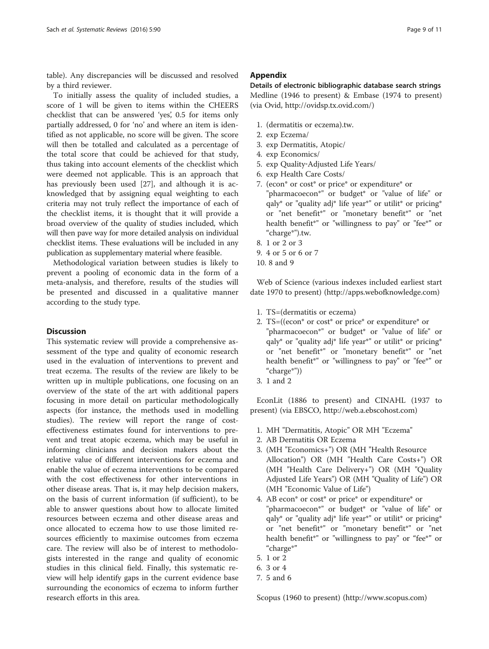<span id="page-8-0"></span>table). Any discrepancies will be discussed and resolved by a third reviewer.

To initially assess the quality of included studies, a score of 1 will be given to items within the CHEERS checklist that can be answered 'yes', 0.5 for items only partially addressed, 0 for 'no' and where an item is identified as not applicable, no score will be given. The score will then be totalled and calculated as a percentage of the total score that could be achieved for that study, thus taking into account elements of the checklist which were deemed not applicable. This is an approach that has previously been used [\[27\]](#page-10-0), and although it is acknowledged that by assigning equal weighting to each criteria may not truly reflect the importance of each of the checklist items, it is thought that it will provide a broad overview of the quality of studies included, which will then pave way for more detailed analysis on individual checklist items. These evaluations will be included in any publication as supplementary material where feasible.

Methodological variation between studies is likely to prevent a pooling of economic data in the form of a meta-analysis, and therefore, results of the studies will be presented and discussed in a qualitative manner according to the study type.

#### **Discussion**

This systematic review will provide a comprehensive assessment of the type and quality of economic research used in the evaluation of interventions to prevent and treat eczema. The results of the review are likely to be written up in multiple publications, one focusing on an overview of the state of the art with additional papers focusing in more detail on particular methodologically aspects (for instance, the methods used in modelling studies). The review will report the range of costeffectiveness estimates found for interventions to prevent and treat atopic eczema, which may be useful in informing clinicians and decision makers about the relative value of different interventions for eczema and enable the value of eczema interventions to be compared with the cost effectiveness for other interventions in other disease areas. That is, it may help decision makers, on the basis of current information (if sufficient), to be able to answer questions about how to allocate limited resources between eczema and other disease areas and once allocated to eczema how to use those limited resources efficiently to maximise outcomes from eczema care. The review will also be of interest to methodologists interested in the range and quality of economic studies in this clinical field. Finally, this systematic review will help identify gaps in the current evidence base surrounding the economics of eczema to inform further research efforts in this area.

#### Appendix

Details of electronic bibliographic database search strings Medline (1946 to present) & Embase (1974 to present) (via Ovid, [http://ovidsp.tx.ovid.com/\)](http://ovidsp.tx.ovid.com/)

- 1. (dermatitis or eczema).tw.
- 2. exp Eczema/
- 3. exp Dermatitis, Atopic/
- 4. exp Economics/
- 5. exp Quality‐Adjusted Life Years/
- 6. exp Health Care Costs/
- 7. (econ\* or cost\* or price\* or expenditure\* or "pharmacoecon\*" or budget\* or "value of life" or qaly\* or "quality adj\* life year\*" or utilit\* or pricing\* or "net benefit\*" or "monetary benefit\*" or "net health benefit\*" or "willingness to pay" or "fee\*" or "charge\*").tw.
- 8. 1 or 2 or 3
- 9. 4 or 5 or 6 or 7
- 10. 8 and 9

Web of Science (various indexes included earliest start date 1970 to present) ([http://apps.webofknowledge.com\)](http://apps.webofknowledge.com)

- 1. TS=(dermatitis or eczema)
- 2. TS=((econ\* or cost\* or price\* or expenditure\* or "pharmacoecon\*" or budget\* or "value of life" or qaly\* or "quality adj\* life year\*" or utilit\* or pricing\* or "net benefit\*" or "monetary benefit\*" or "net health benefit\*" or "willingness to pay" or "fee\*" or "charge\*"))
- 3. 1 and 2

EconLit (1886 to present) and CINAHL (1937 to present) (via EBSCO, http://web.a.ebscohost.com)

- 1. MH "Dermatitis, Atopic" OR MH "Eczema"
- 2. AB Dermatitis OR Eczema
- 3. (MH "Economics+") OR (MH "Health Resource Allocation") OR (MH "Health Care Costs+") OR (MH "Health Care Delivery+") OR (MH "Quality Adjusted Life Years") OR (MH "Quality of Life") OR (MH "Economic Value of Life")
- 4. AB econ\* or cost\* or price\* or expenditure\* or "pharmacoecon<sup>\*"</sup> or budget<sup>\*</sup> or "value of life" or qaly\* or "quality adj\* life year\*" or utilit\* or pricing\* or "net benefit\*" or "monetary benefit\*" or "net health benefit\*" or "willingness to pay" or "fee\*" or "charge\*"
- 5. 1 or 2
- 6. 3 or 4
- 7. 5 and 6

Scopus (1960 to present) (<http://www.scopus.com>)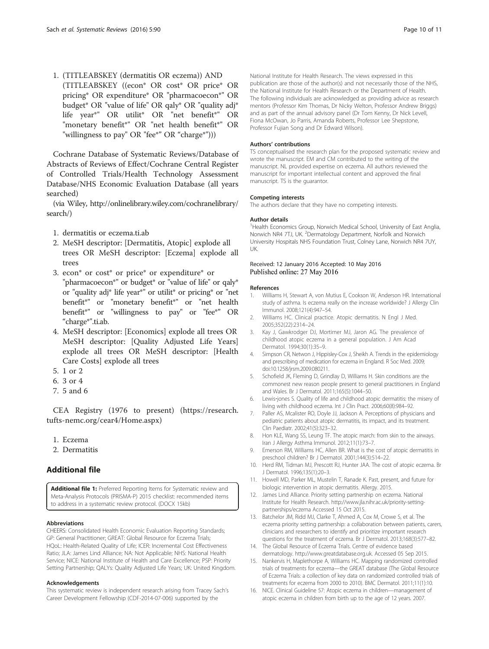- <span id="page-9-0"></span>1. (TITLEABSKEY (dermatitis OR eczema)) AND
- (TITLEABSKEY ((econ\* OR cost\* OR price\* OR pricing\* OR expenditure\* OR "pharmacoecon\*" OR budget\* OR "value of life" OR qaly\* OR "quality adj\* life year\*" OR utilit\* OR "net benefit\*" OR "monetary benefit\*" OR "net health benefit\*" OR "willingness to pay" OR "fee\*" OR "charge\*")))

Cochrane Database of Systematic Reviews/Database of Abstracts of Reviews of Effect/Cochrane Central Register of Controlled Trials/Health Technology Assessment Database/NHS Economic Evaluation Database (all years searched)

(via Wiley, [http://onlinelibrary.wiley.com/cochranelibrary/](http://onlinelibrary.wiley.com/cochranelibrary/search/) [search/\)](http://onlinelibrary.wiley.com/cochranelibrary/search/)

- 1. dermatitis or eczema.ti.ab
- 2. MeSH descriptor: [Dermatitis, Atopic] explode all trees OR MeSH descriptor: [Eczema] explode all trees
- 3. econ\* or cost\* or price\* or expenditure\* or "pharmacoecon\*" or budget\* or "value of life" or qaly\* or "quality adj\* life year\*" or utilit\* or pricing\* or "net benefit\*" or "monetary benefit\*" or "net health benefit\*" or "willingness to pay" or "fee\*" OR "charge\*".ti.ab.
- 4. MeSH descriptor: [Economics] explode all trees OR MeSH descriptor: [Quality Adjusted Life Years] explode all trees OR MeSH descriptor: [Health Care Costs] explode all trees
- 5. 1 or 2
- 6. 3 or 4
- 7. 5 and 6

CEA Registry (1976 to present) ([https://research.](https://research.tufts-nemc.org/cear4/Home.aspx) [tufts-nemc.org/cear4/Home.aspx](https://research.tufts-nemc.org/cear4/Home.aspx))

- 1. Eczema
- 2. Dermatitis

#### Additional file

[Additional file 1:](dx.doi.org/10.1186/s13643-016-0262-0) Preferred Reporting Items for Systematic review and Meta-Analysis Protocols (PRISMA-P) 2015 checklist: recommended items to address in a systematic review protocol. (DOCX 15kb)

#### Abbreviations

CHEERS: Consolidated Health Economic Evaluation Reporting Standards; GP: General Practitioner; GREAT: Global Resource for Eczema Trials; HQoL: Health-Related Quality of Life; ICER: Incremental Cost Effectiveness Ratio; JLA: James Lind Alliance; NA: Not Applicable; NHS: National Health Service; NICE: National Institute of Health and Care Excellence; PSP: Priority Setting Partnership; QALYs: Quality Adjusted Life Years; UK: United Kingdom.

#### Acknowledgements

This systematic review is independent research arising from Tracey Sach's Career Development Fellowship (CDF-2014-07-006) supported by the

National Institute for Health Research. The views expressed in this publication are those of the author(s) and not necessarily those of the NHS, the National Institute for Health Research or the Department of Health. The following individuals are acknowledged as providing advice as research mentors (Professor Kim Thomas, Dr Nicky Welton, Professor Andrew Briggs) and as part of the annual advisory panel (Dr Tom Kenny, Dr Nick Levell, Fiona McOwan, Jo Parris, Amanda Roberts, Professor Lee Shepstone, Professor Fujian Song and Dr Edward Wilson).

#### Authors' contributions

TS conceptualised the research plan for the proposed systematic review and wrote the manuscript. EM and CM contributed to the writing of the manuscript. NL provided expertise on eczema. All authors reviewed the manuscript for important intellectual content and approved the final manuscript. TS is the guarantor.

#### Competing interests

The authors declare that they have no competing interests.

#### Author details

<sup>1</sup>Health Economics Group, Norwich Medical School, University of East Anglia, Norwich NR4 7TJ, UK. <sup>2</sup>Dermatology Department, Norfolk and Norwich University Hospitals NHS Foundation Trust, Colney Lane, Norwich NR4 7UY, UK.

#### Received: 12 January 2016 Accepted: 10 May 2016 Published online: 27 May 2016

#### References

- 1. Williams H, Stewart A, von Mutius E, Cookson W, Anderson HR. International study of asthma. Is eczema really on the increase worldwide? J Allergy Clin Immunol. 2008;121(4):947–54.
- 2. Williams HC. Clinical practice. Atopic dermatitis. N Engl J Med. 2005;352(22):2314–24.
- 3. Kay J, Gawkrodger DJ, Mortimer MJ, Jaron AG. The prevalence of childhood atopic eczema in a general population. J Am Acad Dermatol. 1994;30(1):35–9.
- 4. Simpson CR, Netwon J, Hippisley-Cox J, Sheikh A. Trends in the epidemiology and prescribing of medication for eczema in England. R Soc Med. 2009; doi:[10.1258/jrsm.2009.080211](http://dx.doi.org/10.1258/jrsm.2009.080211).
- 5. Schofield JK, Fleming D, Grindlay D, Williams H. Skin conditions are the commonest new reason people present to general practitioners in England and Wales. Br J Dermatol. 2011;165(5):1044–50.
- 6. Lewis‐jones S. Quality of life and childhood atopic dermatitis: the misery of living with childhood eczema. Int J Clin Pract. 2006;60(8):984–92.
- 7. Paller AS, Mcalister RO, Doyle JJ, Jackson A. Perceptions of physicians and pediatric patients about atopic dermatitis, its impact, and its treatment. Clin Paediatr. 2002;41(5):323–32.
- 8. Hon KLE, Wang SS, Leung TF. The atopic march: from skin to the airways. Iran J Allergy Asthma Immunol. 2012;11(1):73–7.
- 9. Emerson RM, Williams HC, Allen BR. What is the cost of atopic dermatitis in preschool children? Br J Dermatol. 2001;144(3):514–22.
- 10. Herd RM, Tidman MJ, Prescott RJ, Hunter JAA. The cost of atopic eczema. Br J Dermatol. 1996;135(1):20–3.
- 11. Howell MD, Parker ML, Mustelin T, Ranade K. Past, present, and future for biologic intervention in atopic dermatitis. Allergy. 2015.
- 12. James Lind Alliance. Priority setting partnership on eczema. National Institute for Health Research. [http://www.jla.nihr.ac.uk/priority-setting](http://www.jla.nihr.ac.uk/priority-setting-partnerships/eczema)[partnerships/eczema](http://www.jla.nihr.ac.uk/priority-setting-partnerships/eczema) Accessed 15 Oct 2015.
- 13. Batchelor JM, Ridd MJ, Clarke T, Ahmed A, Cox M, Crowe S, et al. The eczema priority setting partnership: a collaboration between patients, carers, clinicians and researchers to identify and prioritize important research questions for the treatment of eczema. Br J Dermatol. 2013;168(3):577–82.
- 14. The Global Resource of Eczema Trials. Centre of evidence based dermatology. [http://www.greatdatabase.org.uk.](http://www.greatdatabase.org.uk/) Accessed 05 Sep 2015.
- 15. Nankervis H, Maplethorpe A, Williams HC. Mapping randomized controlled trials of treatments for eczema—the GREAT database (The Global Resource of Eczema Trials: a collection of key data on randomized controlled trials of treatments for eczema from 2000 to 2010). BMC Dermatol. 2011;11(1):10.
- 16. NICE. Clinical Guideline 57: Atopic eczema in children—management of atopic eczema in children from birth up to the age of 12 years. 2007.